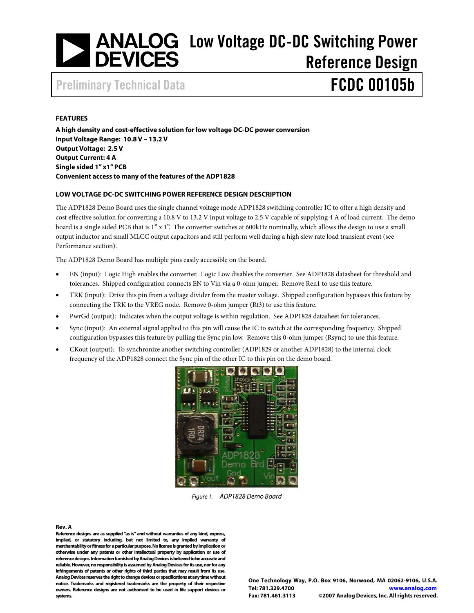# <span id="page-0-0"></span>Low Voltage DC-DC Switching Power Reference Design

Preliminary Technical Data **FCDC 00105b** 

#### **FEATURES**

**A high density and cost-effective solution for low voltage DC-DC power conversion Input Voltage Range: 10.8 V – 13.2 V Output Voltage: 2.5 V Output Current: 4 A Single sided 1" x1" PCB Convenient access to many of the features of the ADP1828** 

#### **LOW VOLTAGE DC-DC SWITCHING POWER REFERENCE DESIGN DESCRIPTION**

The ADP1828 Demo Board uses the single channel voltage mode ADP1828 switching controller IC to offer a high density and cost effective solution for converting a 10.8 V to 13.2 V input voltage to 2.5 V capable of supplying 4 A of load current. The demo board is a single sided PCB that is 1" x 1". The converter switches at 600kHz nominally, which allows the design to use a small output inductor and small MLCC output capacitors and still perform well during a high slew rate load transient event (see Performance section).

The ADP1828 Demo Board has multiple pins easily accessible on the board.

- EN (input): Logic High enables the converter. Logic Low disables the converter. See ADP1828 datasheet for threshold and tolerances. Shipped configuration connects EN to Vin via a 0-ohm jumper. Remove Ren1 to use this feature.
- TRK (input): Drive this pin from a voltage divider from the master voltage. Shipped configuration bypasses this feature by connecting the TRK to the VREG node. Remove 0-ohm jumper (Rt3) to use this feature.
- PwrGd (output): Indicates when the output voltage is within regulation. See ADP1828 datasheet for tolerances.
- Sync (input): An external signal applied to this pin will cause the IC to switch at the corresponding frequency. Shipped configuration bypasses this feature by pulling the Sync pin low. Remove this 0-ohm jumper (Rsync) to use this feature.
- CKout (output): To synchronize another switching controller (ADP1829 or another ADP1828) to the internal clock frequency of the ADP1828 connect the Sync pin of the other IC to this pin on the demo board.



Figure 1. ADP1828 Demo Board

**Rev. A** 

**Reference designs are as supplied "as is" and without warranties of any kind, express, implied, or statutory including, but not limited to, any implied warranty of merchantability or fitness for a particular purpose. No license is granted by implication or otherwise under any patents or other intellectual property by application or use of reference designs. Information furnished by Analog Devices is believed to be accurate and reliable. However, no responsibility is assumed by Analog Devices for its use, nor for any infringements of patents or other rights of third parties that may result from its use. Analog Devices reserves the right to change devices or specifications at any time without notice. Trademarks and registered trademarks are the property of their respective owners. Reference designs are not authorized to be used in life support devices or systems.**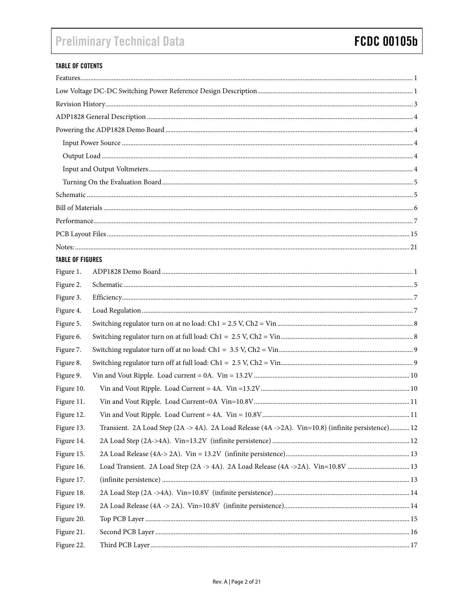# **Preliminary Technical Data**

### **TABLE OF COTENTS**

| <b>TABLE OF FIGURES</b> |                                                                                                     |  |  |  |  |  |  |
|-------------------------|-----------------------------------------------------------------------------------------------------|--|--|--|--|--|--|
| Figure 1.               |                                                                                                     |  |  |  |  |  |  |
| Figure 2.               |                                                                                                     |  |  |  |  |  |  |
| Figure 3.               |                                                                                                     |  |  |  |  |  |  |
| Figure 4.               |                                                                                                     |  |  |  |  |  |  |
| Figure 5.               |                                                                                                     |  |  |  |  |  |  |
| Figure 6.               |                                                                                                     |  |  |  |  |  |  |
| Figure 7.               |                                                                                                     |  |  |  |  |  |  |
| Figure 8.               |                                                                                                     |  |  |  |  |  |  |
| Figure 9.               |                                                                                                     |  |  |  |  |  |  |
| Figure 10.              |                                                                                                     |  |  |  |  |  |  |
| Figure 11.              |                                                                                                     |  |  |  |  |  |  |
| Figure 12.              |                                                                                                     |  |  |  |  |  |  |
| Figure 13.              | Transient. 2A Load Step (2A -> 4A). 2A Load Release (4A -> 2A). Vin=10.8) (infinite persistence) 12 |  |  |  |  |  |  |
| Figure 14.              |                                                                                                     |  |  |  |  |  |  |
| Figure 15.              |                                                                                                     |  |  |  |  |  |  |
| Figure 16.              | Load Transient. 2A Load Step (2A -> 4A). 2A Load Release (4A ->2A). Vin=10.8V 13                    |  |  |  |  |  |  |
| Figure 17.              |                                                                                                     |  |  |  |  |  |  |
| Figure 18.              |                                                                                                     |  |  |  |  |  |  |
| Figure 19.              |                                                                                                     |  |  |  |  |  |  |
| Figure 20.              |                                                                                                     |  |  |  |  |  |  |
| Figure 21.              |                                                                                                     |  |  |  |  |  |  |
| Figure 22.              |                                                                                                     |  |  |  |  |  |  |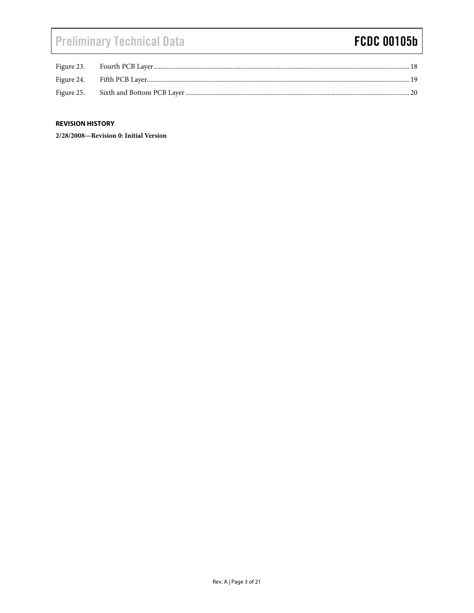# <span id="page-2-0"></span>**Preliminary Technical Data**

## **FCDC 00105b**

| Figure 23. |  |
|------------|--|
|            |  |
| Figure 25. |  |

#### **REVISION HISTORY**

2/28/2008-Revision 0: Initial Version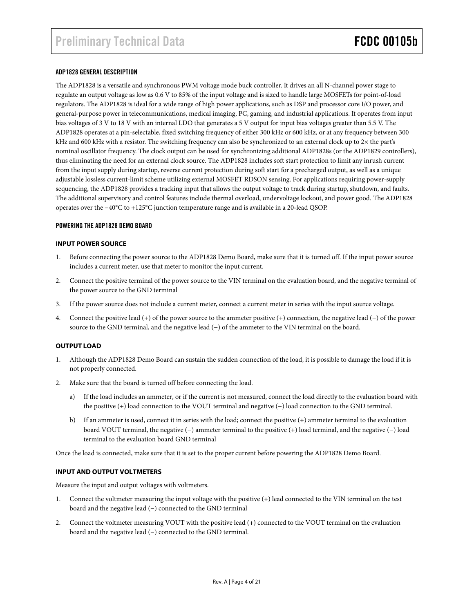#### <span id="page-3-0"></span>ADP1828 GENERAL DESCRIPTION

The ADP1828 is a versatile and synchronous PWM voltage mode buck controller. It drives an all N-channel power stage to regulate an output voltage as low as 0.6 V to 85% of the input voltage and is sized to handle large MOSFETs for point-of-load regulators. The ADP1828 is ideal for a wide range of high power applications, such as DSP and processor core I/O power, and general-purpose power in telecommunications, medical imaging, PC, gaming, and industrial applications. It operates from input bias voltages of 3 V to 18 V with an internal LDO that generates a 5 V output for input bias voltages greater than 5.5 V. The ADP1828 operates at a pin-selectable, fixed switching frequency of either 300 kHz or 600 kHz, or at any frequency between 300 kHz and 600 kHz with a resistor. The switching frequency can also be synchronized to an external clock up to 2× the part's nominal oscillator frequency. The clock output can be used for synchronizing additional ADP1828s (or the ADP1829 controllers), thus eliminating the need for an external clock source. The ADP1828 includes soft start protection to limit any inrush current from the input supply during startup, reverse current protection during soft start for a precharged output, as well as a unique adjustable lossless current-limit scheme utilizing external MOSFET RDSON sensing. For applications requiring power-supply sequencing, the ADP1828 provides a tracking input that allows the output voltage to track during startup, shutdown, and faults. The additional supervisory and control features include thermal overload, undervoltage lockout, and power good. The ADP1828 operates over the −40°C to +125°C junction temperature range and is available in a 20-lead QSOP.

#### POWERING THE ADP1828 DEMO BOARD

#### **INPUT POWER SOURCE**

- 1. Before connecting the power source to the ADP1828 Demo Board, make sure that it is turned off. If the input power source includes a current meter, use that meter to monitor the input current.
- 2. Connect the positive terminal of the power source to the VIN terminal on the evaluation board, and the negative terminal of the power source to the GND terminal
- 3. If the power source does not include a current meter, connect a current meter in series with the input source voltage.
- 4. Connect the positive lead (+) of the power source to the ammeter positive (+) connection, the negative lead (−) of the power source to the GND terminal, and the negative lead (−) of the ammeter to the VIN terminal on the board.

#### **OUTPUT LOAD**

- Although the ADP1828 Demo Board can sustain the sudden connection of the load, it is possible to damage the load if it is not properly connected.
- 2. Make sure that the board is turned off before connecting the load.
	- a) If the load includes an ammeter, or if the current is not measured, connect the load directly to the evaluation board with the positive (+) load connection to the VOUT terminal and negative (−) load connection to the GND terminal.
	- b) If an ammeter is used, connect it in series with the load; connect the positive (+) ammeter terminal to the evaluation board VOUT terminal, the negative (−) ammeter terminal to the positive (+) load terminal, and the negative (−) load terminal to the evaluation board GND terminal

Once the load is connected, make sure that it is set to the proper current before powering the ADP1828 Demo Board.

#### **INPUT AND OUTPUT VOLTMETERS**

Measure the input and output voltages with voltmeters.

- 1. Connect the voltmeter measuring the input voltage with the positive (+) lead connected to the VIN terminal on the test board and the negative lead (−) connected to the GND terminal
- 2. Connect the voltmeter measuring VOUT with the positive lead (+) connected to the VOUT terminal on the evaluation board and the negative lead (−) connected to the GND terminal.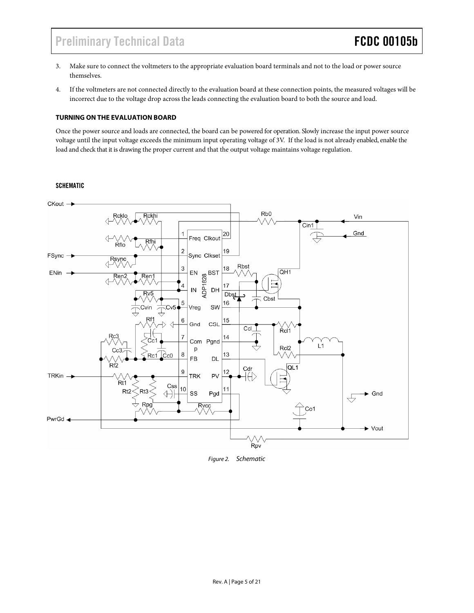### <span id="page-4-0"></span>Preliminary Technical Data **FCDC 00105b**

- 3. Make sure to connect the voltmeters to the appropriate evaluation board terminals and not to the load or power source themselves.
- 4. If the voltmeters are not connected directly to the evaluation board at these connection points, the measured voltages will be incorrect due to the voltage drop across the leads connecting the evaluation board to both the source and load.

#### **TURNING ON THE EVALUATION BOARD**

Once the power source and loads are connected, the board can be powered for operation. Slowly increase the input power source voltage until the input voltage exceeds the minimum input operating voltage of 3V. If the load is not already enabled, enable the load and check that it is drawing the proper current and that the output voltage maintains voltage regulation.

#### SCHEMATIC



Figure 2. Schematic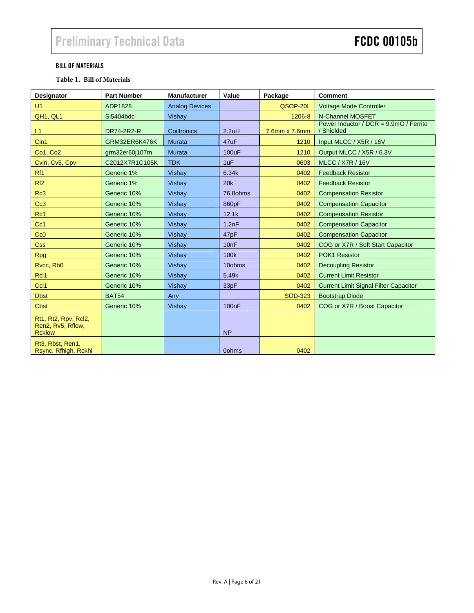#### <span id="page-5-0"></span>BILL OF MATERIALS

#### **Table 1. Bill of Materials**

| Designator                                                         | <b>Part Number</b> | <b>Manufacturer</b>   | Value              | Package        | <b>Comment</b>                                       |
|--------------------------------------------------------------------|--------------------|-----------------------|--------------------|----------------|------------------------------------------------------|
| U1                                                                 | ADP1828            | <b>Analog Devices</b> |                    | QSOP-20L       | <b>Voltage Mode Controller</b>                       |
| QH1, QL1                                                           | Si5404bdc          | Vishay                |                    | 1206-8         | N-Channel MOSFET                                     |
| L1                                                                 | DR74-2R2-R         | Coiltronics           | 2.2uH              | 7.6mm x 7.6mm  | Power Inductor / DCR = 9.9mO / Ferrite<br>/ Shielded |
| Cin1                                                               | GRM32ER6K476K      | Murata                | 47uF               | 1210           | Input MLCC / X5R / 16V                               |
| <b>Co1, Co2</b>                                                    | grm32er60j107m     | Murata                | <b>100uF</b>       | 1210           | Output MLCC / X5R / 6.3V                             |
| Cvin, Cv5, Cpv                                                     | C2012X7R1C105K     | <b>TDK</b>            | 1uF                | 0603           | <b>MLCC / X7R / 16V</b>                              |
| Rf1                                                                | Generic 1%         | Vishay                | 6.34k              | 0402           | <b>Feedback Resistor</b>                             |
| Rf <sub>2</sub>                                                    | Generic 1%         | Vishay                | 20k                | 0402           | <b>Feedback Resistor</b>                             |
| Rc3                                                                | Generic 10%        | Vishay                | 76.8ohms           | 0402           | <b>Compensation Resistor</b>                         |
| Cc3                                                                | Generic 10%        | Vishay                | 860pF              | 0402           | <b>Compensation Capacitor</b>                        |
| Rc1                                                                | Generic 10%        | Vishay                | 12.1k              | 0402           | <b>Compensation Resistor</b>                         |
| Cc1                                                                | Generic 10%        | Vishay                | 1.2nF              | 0402           | <b>Compensation Capacitor</b>                        |
| Cc0                                                                | Generic 10%        | Vishay                | 47pF               | 0402           | <b>Compensation Capacitor</b>                        |
| <b>Css</b>                                                         | Generic 10%        | Vishay                | 10nF               | 0402           | COG or X7R / Soft Start Capacitor                    |
| <b>Rpg</b>                                                         | Generic 10%        | Vishay                | 100k               | 0402           | POK1 Resistor                                        |
| Rvcc, Rb0                                                          | Generic 10%        | Vishay                | 10ohms             | 0402           | <b>Decoupling Resistor</b>                           |
| RcI <sub>1</sub>                                                   | Generic 10%        | Vishay                | 5.49k              | 0402           | <b>Current Limit Resistor</b>                        |
| Ccl1                                                               | Generic 10%        | Vishay                | 33pF               | 0402           | <b>Current Limit Signal Filter Capacitor</b>         |
| <b>Dbst</b>                                                        | <b>BAT54</b>       | Any                   |                    | <b>SOD-323</b> | <b>Bootstrap Diode</b>                               |
| Cbst                                                               | Generic 10%        | Vishay                | 100 <sub>n</sub> F | 0402           | COG or X7R / Boost Capacitor                         |
| Rt1, Rt2, Rpv, Rcl2,<br>Ren2, Rv5, Rflow,<br><b>Rcklow</b>         |                    |                       | <b>NP</b>          |                |                                                      |
| Rt <sub>3</sub> , Rbst, Ren <sub>1</sub> ,<br>Rsync, Rfhigh, Rckhi |                    |                       | 0ohms              | 0402           |                                                      |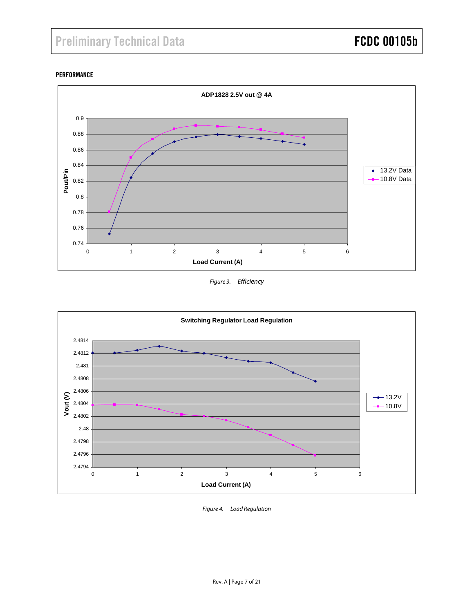#### <span id="page-6-0"></span>PERFORMANCE



Figure 3. Efficiency



Figure 4. Load Regulation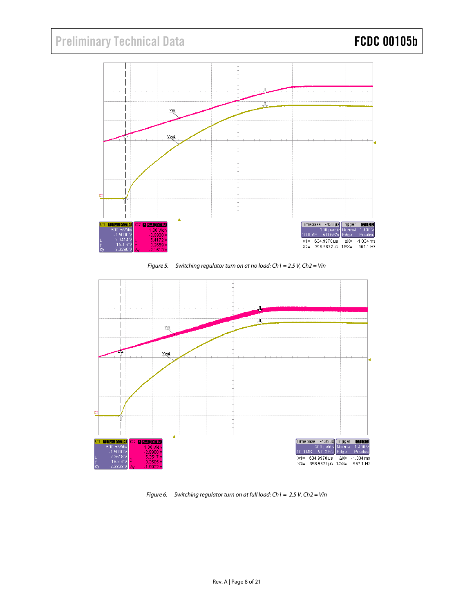<span id="page-7-0"></span>





Figure 6. Switching regulator turn on at full load:  $Ch1 = 2.5 V$ ,  $Ch2 = Vin$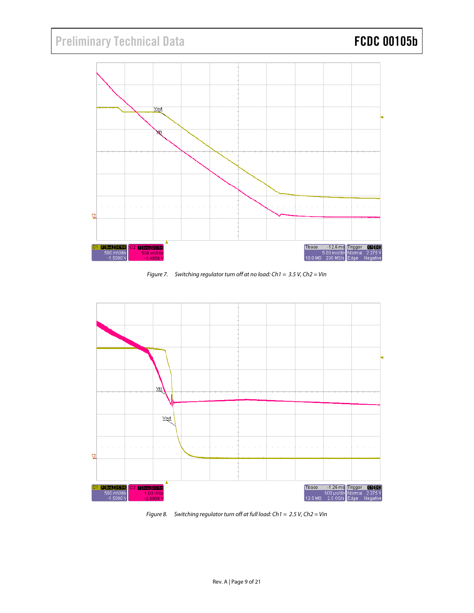# <span id="page-8-0"></span>Preliminary Technical Data **FCDC 00105b**



Figure 7. Switching regulator turn off at no load:  $Ch1 = 3.5 V$ ,  $Ch2 = Vin$ 



Figure 8. Switching regulator turn off at full load:  $Ch1 = 2.5 V$ ,  $Ch2 = Vin$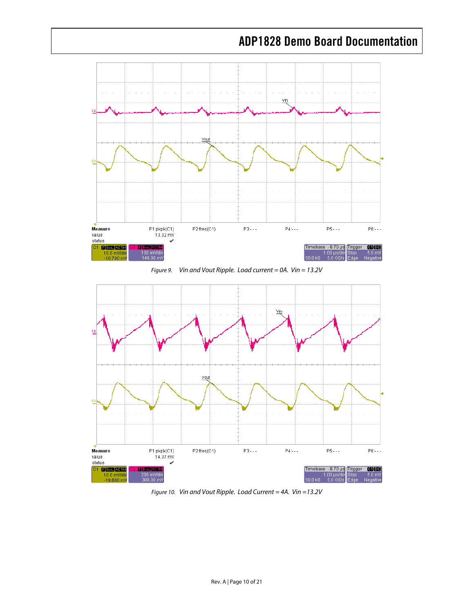<span id="page-9-0"></span>

Figure 9. Vin and Vout Ripple. Load current = 0A. Vin =  $13.2V$ 



Figure 10. Vin and Vout Ripple. Load Current = 4A. Vin =13.2V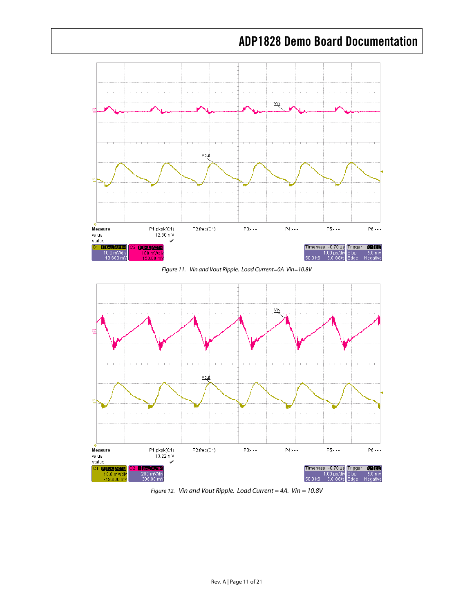<span id="page-10-0"></span>

Figure 11. Vin and Vout Ripple. Load Current=0A Vin=10.8V



Figure 12. Vin and Vout Ripple. Load Current = 4A. Vin = 10.8V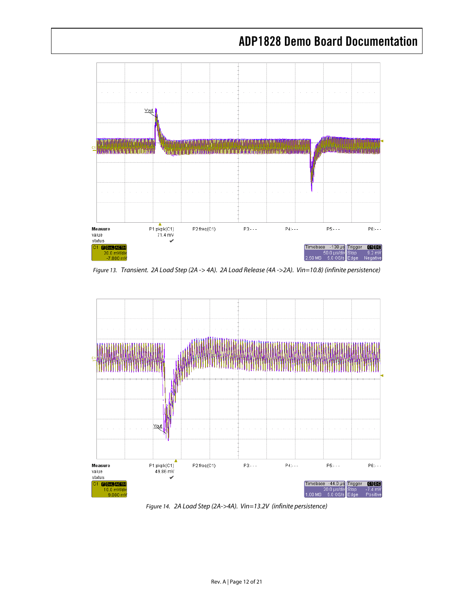<span id="page-11-0"></span>

Figure 13. Transient. 2A Load Step (2A -> 4A). 2A Load Release (4A ->2A). Vin=10.8) (infinite persistence)



Figure 14. 2A Load Step (2A->4A). Vin=13.2V (infinite persistence)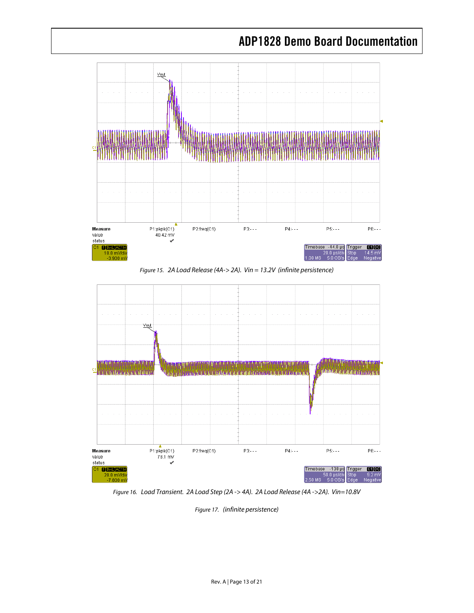<span id="page-12-0"></span>

Figure 15. 2A Load Release (4A-> 2A). Vin = 13.2V (infinite persistence)



Figure 16. Load Transient. 2A Load Step (2A -> 4A). 2A Load Release (4A ->2A). Vin=10.8V

Figure 17. (infinite persistence)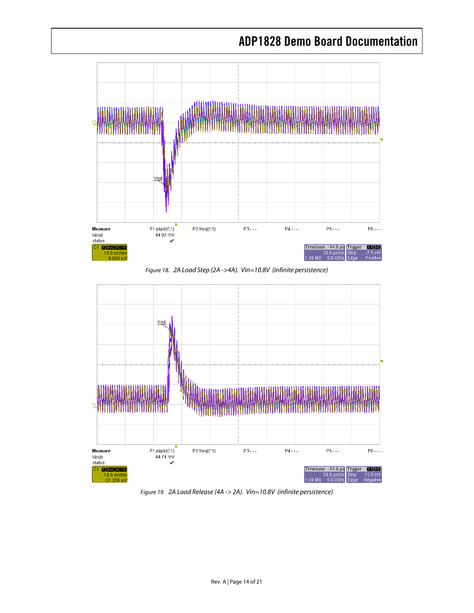<span id="page-13-0"></span>

Figure 18. 2A Load Step (2A ->4A). Vin=10.8V (infinite persistence)



Figure 19. 2A Load Release (4A -> 2A). Vin=10.8V (infinite persistence)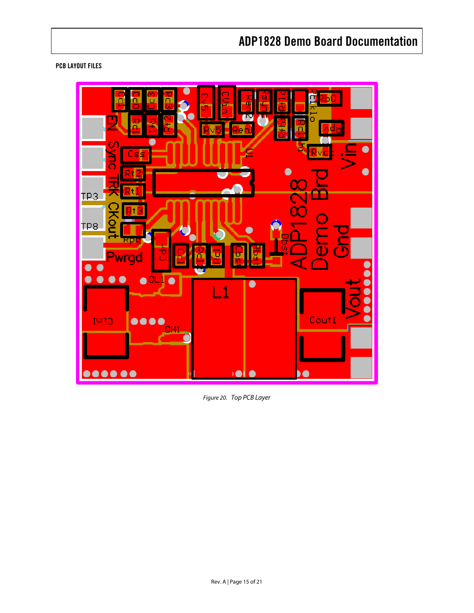#### <span id="page-14-0"></span>PCB LAYOUT FILES



Figure 20. Top PCB Layer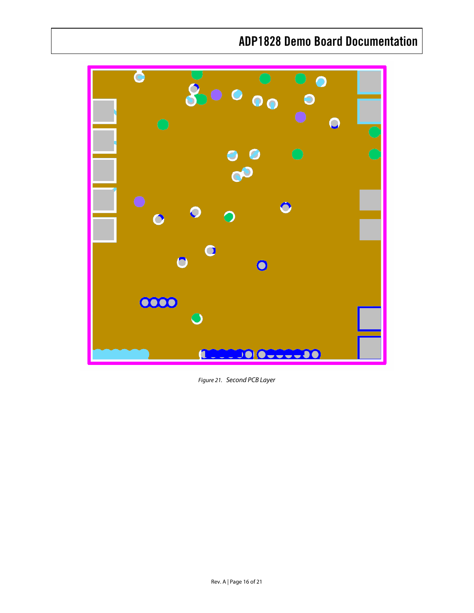<span id="page-15-0"></span>

Figure 21. Second PCB Layer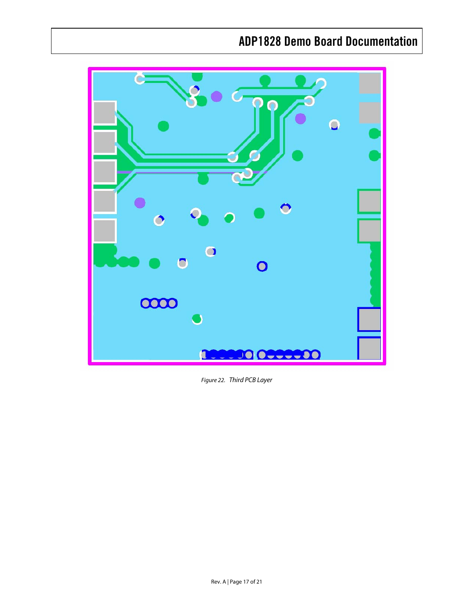<span id="page-16-0"></span>

Figure 22. Third PCB Layer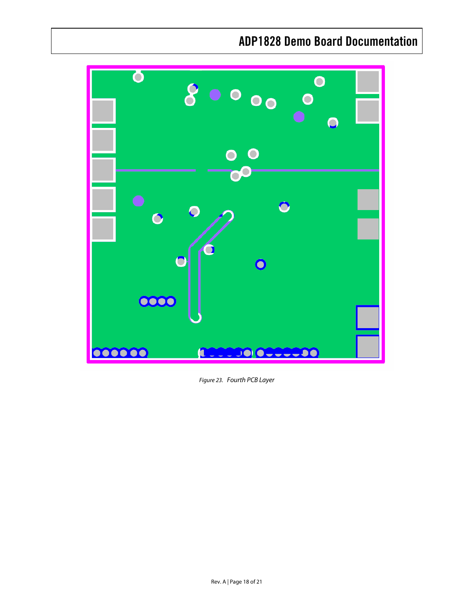<span id="page-17-0"></span>

Figure 23. Fourth PCB Layer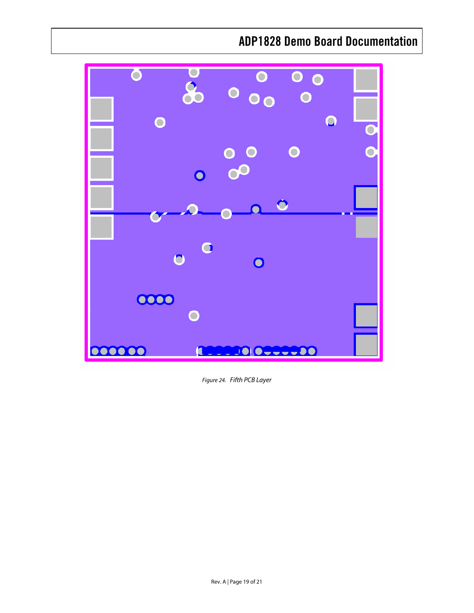<span id="page-18-0"></span>

Figure 24. Fifth PCB Layer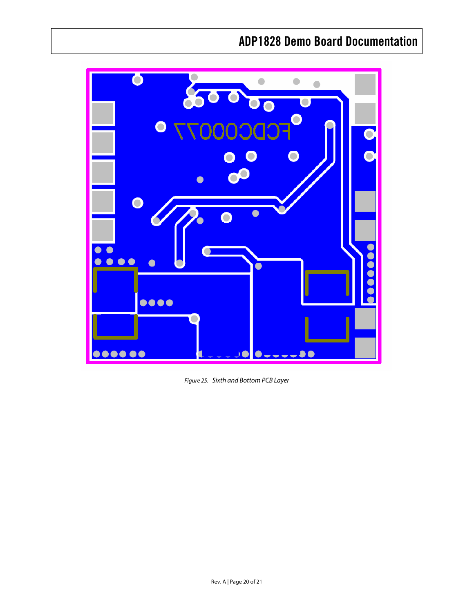<span id="page-19-0"></span>

Figure 25. Sixth and Bottom PCB Layer